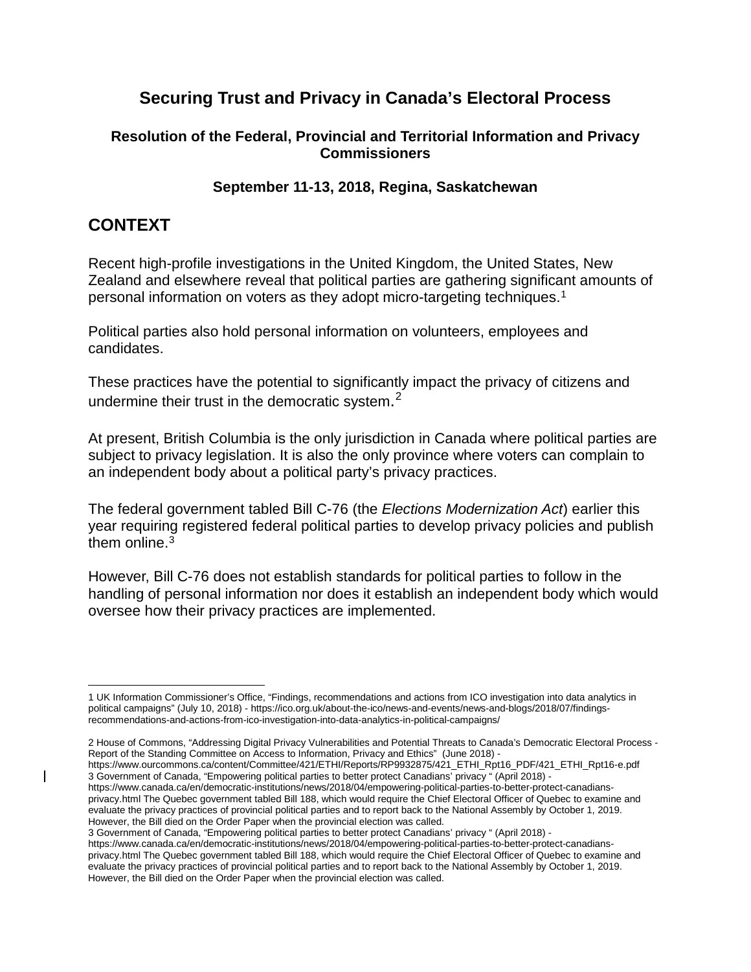# **Securing Trust and Privacy in Canada's Electoral Process**

#### **Resolution of the Federal, Provincial and Territorial Information and Privacy Commissioners**

#### **September 11-13, 2018, Regina, Saskatchewan**

## **CONTEXT**

<span id="page-0-2"></span><span id="page-0-1"></span><span id="page-0-0"></span> $\mathsf{l}$ 

Recent high-profile investigations in the United Kingdom, the United States, New Zealand and elsewhere reveal that political parties are gathering significant amounts of personal information on voters as they adopt micro-targeting techniques[.1](#page-0-0)

Political parties also hold personal information on volunteers, employees and candidates.

These practices have the potential to significantly impact the privacy of citizens and undermine their trust in the democratic system.<sup>[2](#page-0-1)</sup>

At present, British Columbia is the only jurisdiction in Canada where political parties are subject to privacy legislation. It is also the only province where voters can complain to an independent body about a political party's privacy practices.

The federal government tabled Bill C-76 (the *Elections Modernization Act*) earlier this year requiring registered federal political parties to develop privacy policies and publish them online.<sup>[3](#page-0-2)</sup>

However, Bill C-76 does not establish standards for political parties to follow in the handling of personal information nor does it establish an independent body which would oversee how their privacy practices are implemented.

[https://www.ourcommons.ca/content/Committee/421/ETHI/Reports/RP9932875/421\\_ETHI\\_Rpt16\\_PDF/421\\_ETHI\\_Rpt16-e.pdf](https://www.ourcommons.ca/content/Committee/421/ETHI/Reports/RP9932875/421_ETHI_Rpt16_PDF/421_ETHI_Rpt16-e.pdf) 3 Government of Canada, "Empowering political parties to better protect Canadians' privacy " (April 2018) -

[https://www.canada.ca/en/democratic-institutions/news/2018/04/empowering-political-parties-to-better-protect-canadians](https://www.canada.ca/en/democratic-institutions/news/2018/04/empowering-political-parties-to-better-protect-canadians-privacy.html)[privacy.html](https://www.canada.ca/en/democratic-institutions/news/2018/04/empowering-political-parties-to-better-protect-canadians-privacy.html) The Quebec government tabled Bill 188, which would require the Chief Electoral Officer of Quebec to examine and evaluate the privacy practices of provincial political parties and to report back to the National Assembly by October 1, 2019. However, the Bill died on the Order Paper when the provincial election was called.

3 Government of Canada, "Empowering political parties to better protect Canadians' privacy " (April 2018) -

[https://www.canada.ca/en/democratic-institutions/news/2018/04/empowering-political-parties-to-better-protect-canadians](https://www.canada.ca/en/democratic-institutions/news/2018/04/empowering-political-parties-to-better-protect-canadians-privacy.html)[privacy.html](https://www.canada.ca/en/democratic-institutions/news/2018/04/empowering-political-parties-to-better-protect-canadians-privacy.html) The Quebec government tabled Bill 188, which would require the Chief Electoral Officer of Quebec to examine and evaluate the privacy practices of provincial political parties and to report back to the National Assembly by October 1, 2019. However, the Bill died on the Order Paper when the provincial election was called.

 $\overline{a}$ 1 UK Information Commissioner's Office, "Findings, recommendations and actions from ICO investigation into data analytics in political campaigns" (July 10, 2018) - [https://ico.org.uk/about-the-ico/news-and-events/news-and-blogs/2018/07/findings](https://ico.org.uk/about-the-ico/news-and-events/news-and-blogs/2018/07/findings-recommendations-and-actions-from-ico-investigation-into-data-analytics-in-political-campaigns/)[recommendations-and-actions-from-ico-investigation-into-data-analytics-in-political-campaigns/](https://ico.org.uk/about-the-ico/news-and-events/news-and-blogs/2018/07/findings-recommendations-and-actions-from-ico-investigation-into-data-analytics-in-political-campaigns/)

<sup>2</sup> House of Commons, "Addressing Digital Privacy Vulnerabilities and Potential Threats to Canada's Democratic Electoral Process - Report of the Standing Committee on Access to Information, Privacy and Ethics" (June 2018) -